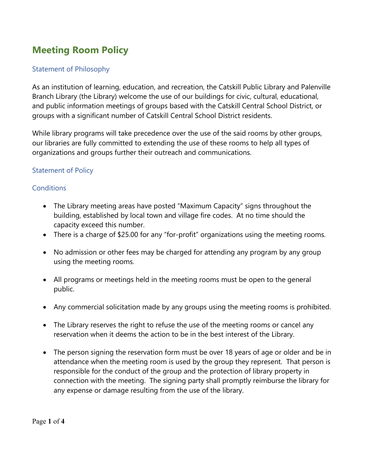# **Meeting Room Policy**

#### Statement of Philosophy

As an institution of learning, education, and recreation, the Catskill Public Library and Palenville Branch Library (the Library) welcome the use of our buildings for civic, cultural, educational, and public information meetings of groups based with the Catskill Central School District, or groups with a significant number of Catskill Central School District residents.

While library programs will take precedence over the use of the said rooms by other groups, our libraries are fully committed to extending the use of these rooms to help all types of organizations and groups further their outreach and communications.

## Statement of Policy

## **Conditions**

- The Library meeting areas have posted "Maximum Capacity" signs throughout the building, established by local town and village fire codes. At no time should the capacity exceed this number.
- There is a charge of \$25.00 for any "for-profit" organizations using the meeting rooms.
- No admission or other fees may be charged for attending any program by any group using the meeting rooms.
- All programs or meetings held in the meeting rooms must be open to the general public.
- Any commercial solicitation made by any groups using the meeting rooms is prohibited.
- The Library reserves the right to refuse the use of the meeting rooms or cancel any reservation when it deems the action to be in the best interest of the Library.
- The person signing the reservation form must be over 18 years of age or older and be in attendance when the meeting room is used by the group they represent. That person is responsible for the conduct of the group and the protection of library property in connection with the meeting. The signing party shall promptly reimburse the library for any expense or damage resulting from the use of the library.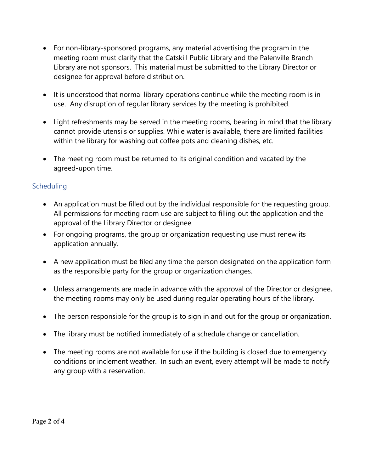- For non-library-sponsored programs, any material advertising the program in the meeting room must clarify that the Catskill Public Library and the Palenville Branch Library are not sponsors. This material must be submitted to the Library Director or designee for approval before distribution.
- It is understood that normal library operations continue while the meeting room is in use. Any disruption of regular library services by the meeting is prohibited.
- Light refreshments may be served in the meeting rooms, bearing in mind that the library cannot provide utensils or supplies. While water is available, there are limited facilities within the library for washing out coffee pots and cleaning dishes, etc.
- The meeting room must be returned to its original condition and vacated by the agreed-upon time.

## **Scheduling**

- An application must be filled out by the individual responsible for the requesting group. All permissions for meeting room use are subject to filling out the application and the approval of the Library Director or designee.
- For ongoing programs, the group or organization requesting use must renew its application annually.
- A new application must be filed any time the person designated on the application form as the responsible party for the group or organization changes.
- Unless arrangements are made in advance with the approval of the Director or designee, the meeting rooms may only be used during regular operating hours of the library.
- The person responsible for the group is to sign in and out for the group or organization.
- The library must be notified immediately of a schedule change or cancellation.
- The meeting rooms are not available for use if the building is closed due to emergency conditions or inclement weather. In such an event, every attempt will be made to notify any group with a reservation.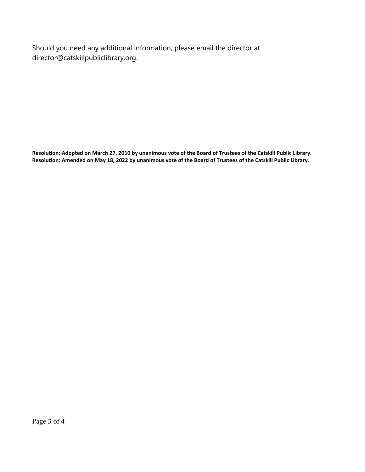Should you need any additional information, please email the director at director@catskillpubliclibrary.org.

**Resolution: Adopted on March 27, 2010 by unanimous vote of the Board of Trustees of the Catskill Public Library. Resolution: Amended on May 18, 2022 by unanimous vote of the Board of Trustees of the Catskill Public Library.**